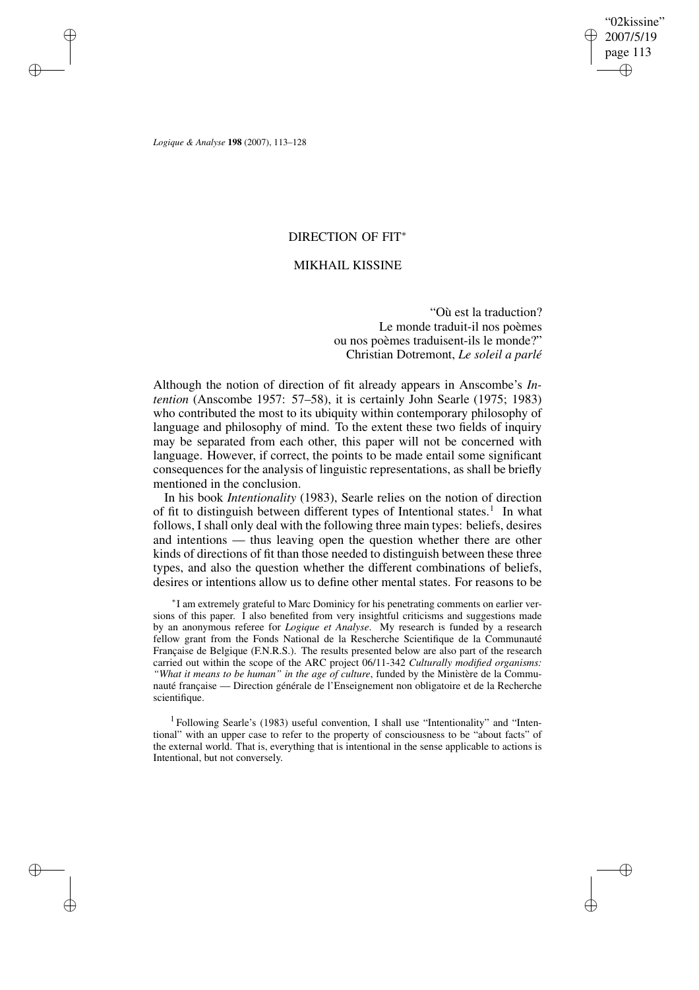✐

✐

*Logique & Analyse* **198** (2007), 113–128

✐

✐

✐

✐

## DIRECTION OF FIT<sup>∗</sup>

# MIKHAIL KISSINE

"Où est la traduction? Le monde traduit-il nos poèmes ou nos poèmes traduisent-ils le monde?" Christian Dotremont, *Le soleil a parlé*

Although the notion of direction of fit already appears in Anscombe's *Intention* (Anscombe 1957: 57–58), it is certainly John Searle (1975; 1983) who contributed the most to its ubiquity within contemporary philosophy of language and philosophy of mind. To the extent these two fields of inquiry may be separated from each other, this paper will not be concerned with language. However, if correct, the points to be made entail some significant consequences for the analysis of linguistic representations, as shall be briefly mentioned in the conclusion.

In his book *Intentionality* (1983), Searle relies on the notion of direction of fit to distinguish between different types of Intentional states.<sup>1</sup> In what follows, I shall only deal with the following three main types: beliefs, desires and intentions — thus leaving open the question whether there are other kinds of directions of fit than those needed to distinguish between these three types, and also the question whether the different combinations of beliefs, desires or intentions allow us to define other mental states. For reasons to be

∗ I am extremely grateful to Marc Dominicy for his penetrating comments on earlier versions of this paper. I also benefited from very insightful criticisms and suggestions made by an anonymous referee for *Logique et Analyse*. My research is funded by a research fellow grant from the Fonds National de la Rescherche Scientifique de la Communauté Française de Belgique (F.N.R.S.). The results presented below are also part of the research carried out within the scope of the ARC project 06/11-342 *Culturally modified organisms: "What it means to be human" in the age of culture*, funded by the Ministère de la Communauté française — Direction générale de l'Enseignement non obligatoire et de la Recherche scientifique.

<sup>1</sup> Following Searle's (1983) useful convention, I shall use "Intentionality" and "Intentional" with an upper case to refer to the property of consciousness to be "about facts" of the external world. That is, everything that is intentional in the sense applicable to actions is Intentional, but not conversely.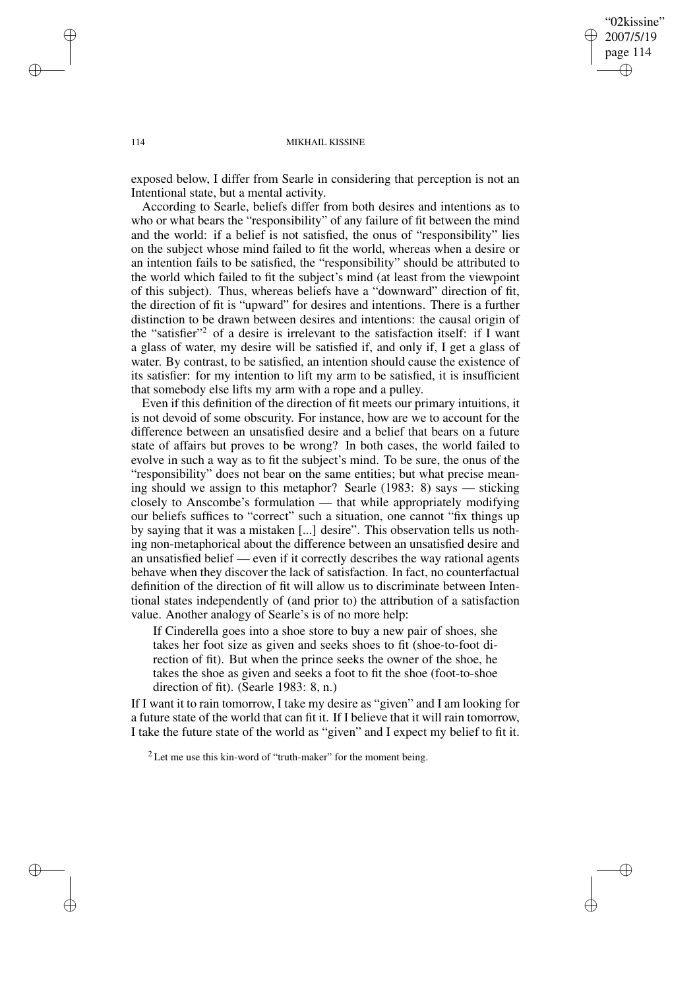"02kissine" 2007/5/19 page 114 ✐ ✐

✐

✐

#### 114 MIKHAIL KISSINE

exposed below, I differ from Searle in considering that perception is not an Intentional state, but a mental activity.

According to Searle, beliefs differ from both desires and intentions as to who or what bears the "responsibility" of any failure of fit between the mind and the world: if a belief is not satisfied, the onus of "responsibility" lies on the subject whose mind failed to fit the world, whereas when a desire or an intention fails to be satisfied, the "responsibility" should be attributed to the world which failed to fit the subject's mind (at least from the viewpoint of this subject). Thus, whereas beliefs have a "downward" direction of fit, the direction of fit is "upward" for desires and intentions. There is a further distinction to be drawn between desires and intentions: the causal origin of the "satisfier"<sup>2</sup> of a desire is irrelevant to the satisfaction itself: if I want a glass of water, my desire will be satisfied if, and only if, I get a glass of water. By contrast, to be satisfied, an intention should cause the existence of its satisfier: for my intention to lift my arm to be satisfied, it is insufficient that somebody else lifts my arm with a rope and a pulley.

Even if this definition of the direction of fit meets our primary intuitions, it is not devoid of some obscurity. For instance, how are we to account for the difference between an unsatisfied desire and a belief that bears on a future state of affairs but proves to be wrong? In both cases, the world failed to evolve in such a way as to fit the subject's mind. To be sure, the onus of the "responsibility" does not bear on the same entities; but what precise meaning should we assign to this metaphor? Searle (1983: 8) says — sticking closely to Anscombe's formulation — that while appropriately modifying our beliefs suffices to "correct" such a situation, one cannot "fix things up by saying that it was a mistaken [...] desire". This observation tells us nothing non-metaphorical about the difference between an unsatisfied desire and an unsatisfied belief — even if it correctly describes the way rational agents behave when they discover the lack of satisfaction. In fact, no counterfactual definition of the direction of fit will allow us to discriminate between Intentional states independently of (and prior to) the attribution of a satisfaction value. Another analogy of Searle's is of no more help:

If Cinderella goes into a shoe store to buy a new pair of shoes, she takes her foot size as given and seeks shoes to fit (shoe-to-foot direction of fit). But when the prince seeks the owner of the shoe, he takes the shoe as given and seeks a foot to fit the shoe (foot-to-shoe direction of fit). (Searle 1983: 8, n.)

If I want it to rain tomorrow, I take my desire as "given" and I am looking for a future state of the world that can fit it. If I believe that it will rain tomorrow, I take the future state of the world as "given" and I expect my belief to fit it.

✐

✐

✐

 $2$  Let me use this kin-word of "truth-maker" for the moment being.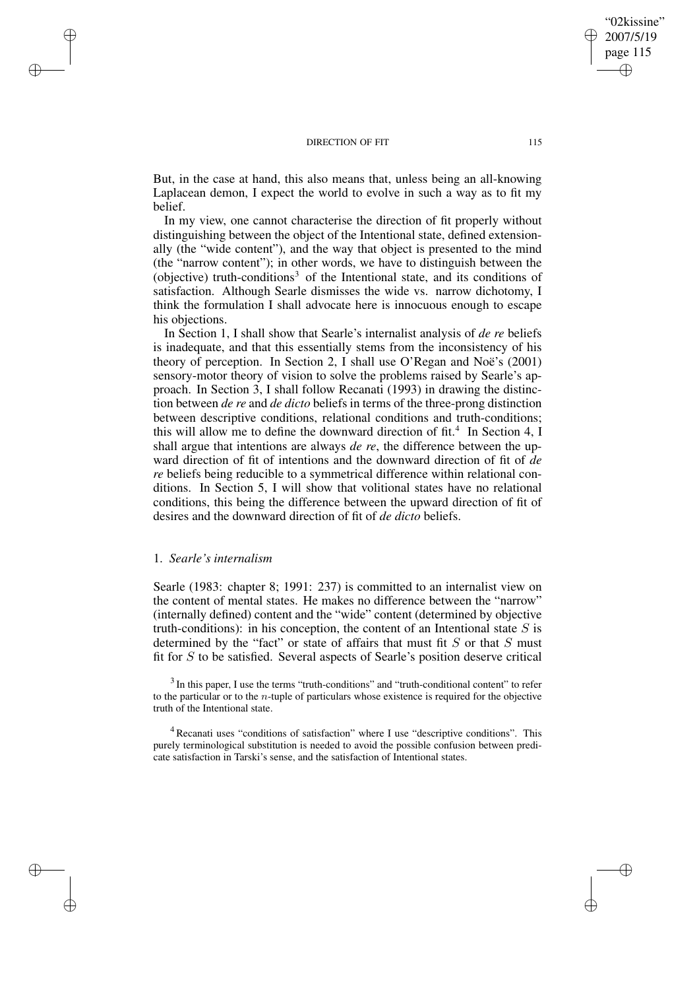But, in the case at hand, this also means that, unless being an all-knowing Laplacean demon, I expect the world to evolve in such a way as to fit my belief.

In my view, one cannot characterise the direction of fit properly without distinguishing between the object of the Intentional state, defined extensionally (the "wide content"), and the way that object is presented to the mind (the "narrow content"); in other words, we have to distinguish between the (objective) truth-conditions<sup>3</sup> of the Intentional state, and its conditions of satisfaction. Although Searle dismisses the wide vs. narrow dichotomy, I think the formulation I shall advocate here is innocuous enough to escape his objections.

In Section 1, I shall show that Searle's internalist analysis of *de re* beliefs is inadequate, and that this essentially stems from the inconsistency of his theory of perception. In Section 2, I shall use O'Regan and Noë's (2001) sensory-motor theory of vision to solve the problems raised by Searle's approach. In Section 3, I shall follow Recanati (1993) in drawing the distinction between *de re* and *de dicto* beliefs in terms of the three-prong distinction between descriptive conditions, relational conditions and truth-conditions; this will allow me to define the downward direction of fit.<sup>4</sup> In Section 4, I shall argue that intentions are always *de re*, the difference between the upward direction of fit of intentions and the downward direction of fit of *de re* beliefs being reducible to a symmetrical difference within relational conditions. In Section 5, I will show that volitional states have no relational conditions, this being the difference between the upward direction of fit of desires and the downward direction of fit of *de dicto* beliefs.

## 1. *Searle's internalism*

✐

✐

✐

✐

Searle (1983: chapter 8; 1991: 237) is committed to an internalist view on the content of mental states. He makes no difference between the "narrow" (internally defined) content and the "wide" content (determined by objective truth-conditions): in his conception, the content of an Intentional state  $S$  is determined by the "fact" or state of affairs that must fit  $S$  or that  $S$  must fit for S to be satisfied. Several aspects of Searle's position deserve critical

<sup>3</sup> In this paper, I use the terms "truth-conditions" and "truth-conditional content" to refer to the particular or to the n-tuple of particulars whose existence is required for the objective truth of the Intentional state.

<sup>4</sup> Recanati uses "conditions of satisfaction" where I use "descriptive conditions". This purely terminological substitution is needed to avoid the possible confusion between predicate satisfaction in Tarski's sense, and the satisfaction of Intentional states.

"02kissine" 2007/5/19 page 115

✐

✐

✐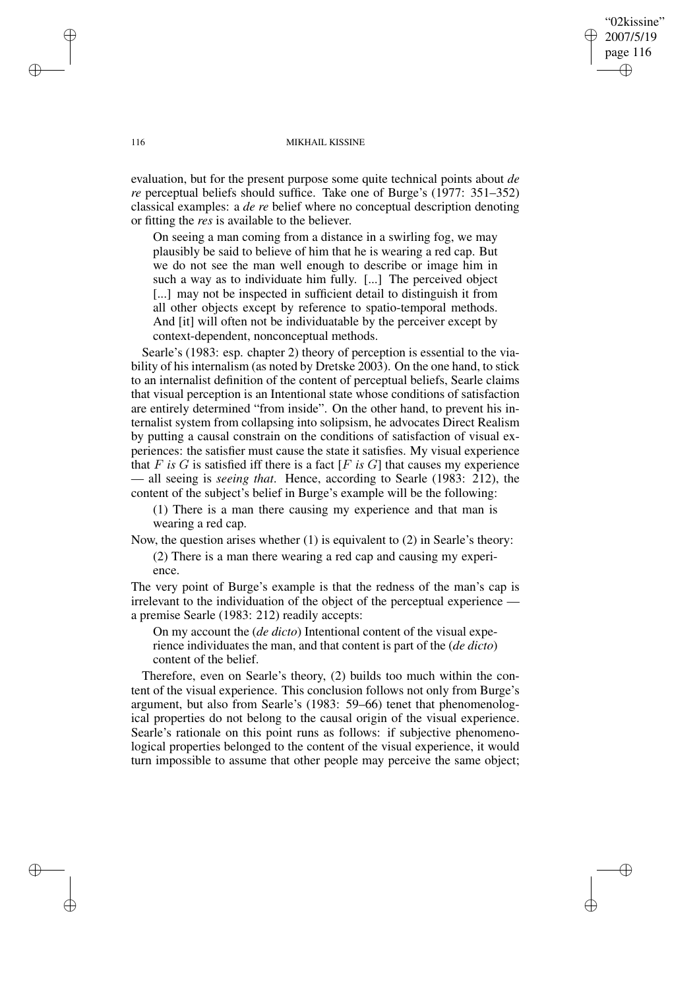"02kissine" 2007/5/19 page 116 ✐ ✐

✐

✐

116 MIKHAIL KISSINE

evaluation, but for the present purpose some quite technical points about *de re* perceptual beliefs should suffice. Take one of Burge's (1977: 351–352) classical examples: a *de re* belief where no conceptual description denoting or fitting the *res* is available to the believer.

On seeing a man coming from a distance in a swirling fog, we may plausibly be said to believe of him that he is wearing a red cap. But we do not see the man well enough to describe or image him in such a way as to individuate him fully. [...] The perceived object [...] may not be inspected in sufficient detail to distinguish it from all other objects except by reference to spatio-temporal methods. And [it] will often not be individuatable by the perceiver except by context-dependent, nonconceptual methods.

Searle's (1983: esp. chapter 2) theory of perception is essential to the viability of his internalism (as noted by Dretske 2003). On the one hand, to stick to an internalist definition of the content of perceptual beliefs, Searle claims that visual perception is an Intentional state whose conditions of satisfaction are entirely determined "from inside". On the other hand, to prevent his internalist system from collapsing into solipsism, he advocates Direct Realism by putting a causal constrain on the conditions of satisfaction of visual experiences: the satisfier must cause the state it satisfies. My visual experience that  $F$  *is*  $G$  is satisfied iff there is a fact  $[F$  *is*  $G]$  that causes my experience — all seeing is *seeing that*. Hence, according to Searle (1983: 212), the content of the subject's belief in Burge's example will be the following:

(1) There is a man there causing my experience and that man is wearing a red cap.

Now, the question arises whether (1) is equivalent to (2) in Searle's theory:

(2) There is a man there wearing a red cap and causing my experience.

The very point of Burge's example is that the redness of the man's cap is irrelevant to the individuation of the object of the perceptual experience a premise Searle (1983: 212) readily accepts:

On my account the (*de dicto*) Intentional content of the visual experience individuates the man, and that content is part of the (*de dicto*) content of the belief.

Therefore, even on Searle's theory, (2) builds too much within the content of the visual experience. This conclusion follows not only from Burge's argument, but also from Searle's (1983: 59–66) tenet that phenomenological properties do not belong to the causal origin of the visual experience. Searle's rationale on this point runs as follows: if subjective phenomenological properties belonged to the content of the visual experience, it would turn impossible to assume that other people may perceive the same object;

✐

✐

✐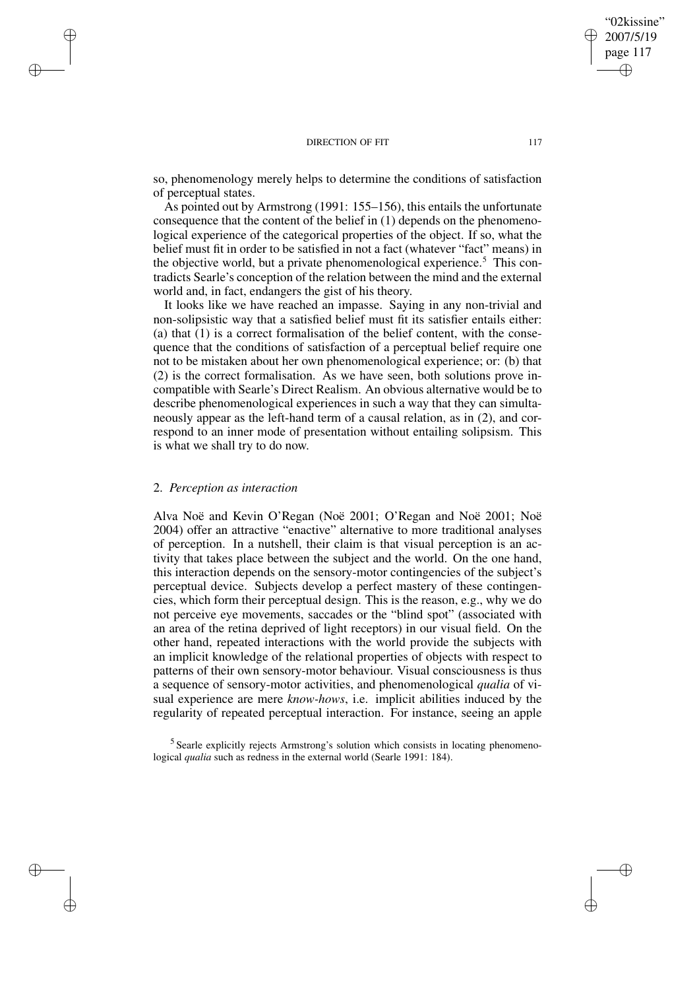so, phenomenology merely helps to determine the conditions of satisfaction of perceptual states.

As pointed out by Armstrong (1991: 155–156), this entails the unfortunate consequence that the content of the belief in (1) depends on the phenomenological experience of the categorical properties of the object. If so, what the belief must fit in order to be satisfied in not a fact (whatever "fact" means) in the objective world, but a private phenomenological experience.<sup>5</sup> This contradicts Searle's conception of the relation between the mind and the external world and, in fact, endangers the gist of his theory.

It looks like we have reached an impasse. Saying in any non-trivial and non-solipsistic way that a satisfied belief must fit its satisfier entails either: (a) that (1) is a correct formalisation of the belief content, with the consequence that the conditions of satisfaction of a perceptual belief require one not to be mistaken about her own phenomenological experience; or: (b) that (2) is the correct formalisation. As we have seen, both solutions prove incompatible with Searle's Direct Realism. An obvious alternative would be to describe phenomenological experiences in such a way that they can simultaneously appear as the left-hand term of a causal relation, as in (2), and correspond to an inner mode of presentation without entailing solipsism. This is what we shall try to do now.

### 2. *Perception as interaction*

✐

✐

✐

✐

Alva Noë and Kevin O'Regan (Noë 2001; O'Regan and Noë 2001; Noë 2004) offer an attractive "enactive" alternative to more traditional analyses of perception. In a nutshell, their claim is that visual perception is an activity that takes place between the subject and the world. On the one hand, this interaction depends on the sensory-motor contingencies of the subject's perceptual device. Subjects develop a perfect mastery of these contingencies, which form their perceptual design. This is the reason, e.g., why we do not perceive eye movements, saccades or the "blind spot" (associated with an area of the retina deprived of light receptors) in our visual field. On the other hand, repeated interactions with the world provide the subjects with an implicit knowledge of the relational properties of objects with respect to patterns of their own sensory-motor behaviour. Visual consciousness is thus a sequence of sensory-motor activities, and phenomenological *qualia* of visual experience are mere *know-hows*, i.e. implicit abilities induced by the regularity of repeated perceptual interaction. For instance, seeing an apple

<sup>5</sup> Searle explicitly rejects Armstrong's solution which consists in locating phenomenological *qualia* such as redness in the external world (Searle 1991: 184).

"02kissine" 2007/5/19 page 117

✐

✐

✐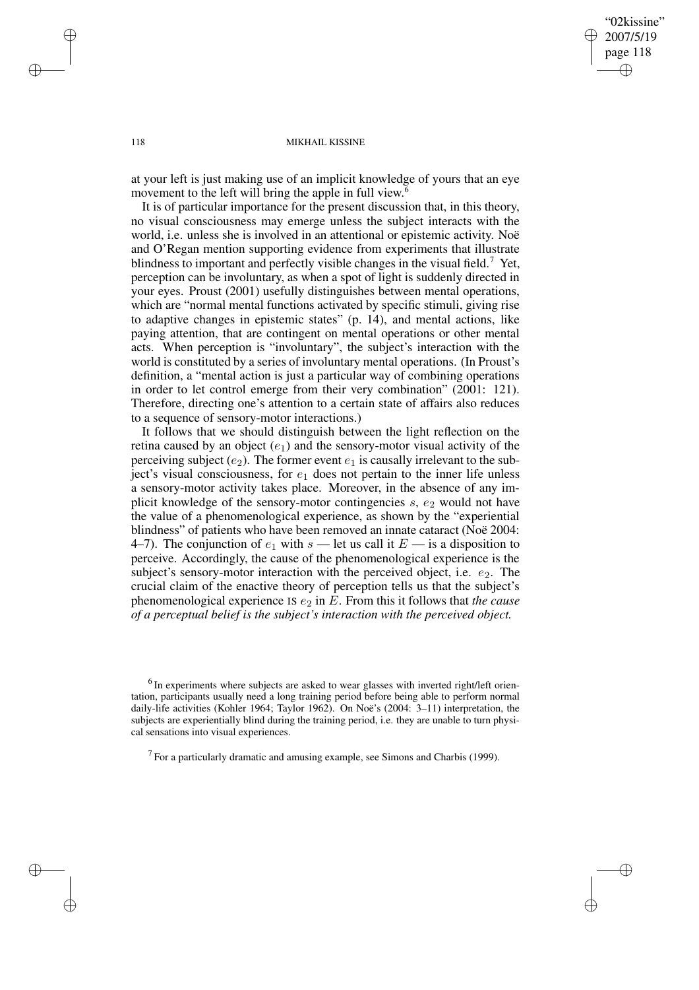"02kissine" 2007/5/19 page 118 ✐ ✐

✐

✐

#### 118 MIKHAIL KISSINE

at your left is just making use of an implicit knowledge of yours that an eye movement to the left will bring the apple in full view.<sup>6</sup>

It is of particular importance for the present discussion that, in this theory, no visual consciousness may emerge unless the subject interacts with the world, i.e. unless she is involved in an attentional or epistemic activity. Noë and O'Regan mention supporting evidence from experiments that illustrate blindness to important and perfectly visible changes in the visual field.<sup>7</sup> Yet, perception can be involuntary, as when a spot of light is suddenly directed in your eyes. Proust (2001) usefully distinguishes between mental operations, which are "normal mental functions activated by specific stimuli, giving rise to adaptive changes in epistemic states" (p. 14), and mental actions, like paying attention, that are contingent on mental operations or other mental acts. When perception is "involuntary", the subject's interaction with the world is constituted by a series of involuntary mental operations. (In Proust's definition, a "mental action is just a particular way of combining operations in order to let control emerge from their very combination" (2001: 121). Therefore, directing one's attention to a certain state of affairs also reduces to a sequence of sensory-motor interactions.)

It follows that we should distinguish between the light reflection on the retina caused by an object  $(e_1)$  and the sensory-motor visual activity of the perceiving subject  $(e_2)$ . The former event  $e_1$  is causally irrelevant to the subject's visual consciousness, for  $e_1$  does not pertain to the inner life unless a sensory-motor activity takes place. Moreover, in the absence of any implicit knowledge of the sensory-motor contingencies  $s, e_2$  would not have the value of a phenomenological experience, as shown by the "experiential blindness" of patients who have been removed an innate cataract (Noë 2004: 4–7). The conjunction of  $e_1$  with  $s$  — let us call it  $E$  — is a disposition to perceive. Accordingly, the cause of the phenomenological experience is the subject's sensory-motor interaction with the perceived object, i.e.  $e_2$ . The crucial claim of the enactive theory of perception tells us that the subject's phenomenological experience IS  $e_2$  in E. From this it follows that *the cause of a perceptual belief is the subject's interaction with the perceived object.*

 $<sup>6</sup>$  In experiments where subjects are asked to wear glasses with inverted right/left orien-</sup> tation, participants usually need a long training period before being able to perform normal daily-life activities (Kohler 1964; Taylor 1962). On Noë's (2004: 3–11) interpretation, the subjects are experientially blind during the training period, i.e. they are unable to turn physical sensations into visual experiences.

<sup>7</sup> For a particularly dramatic and amusing example, see Simons and Charbis (1999).

✐

✐

✐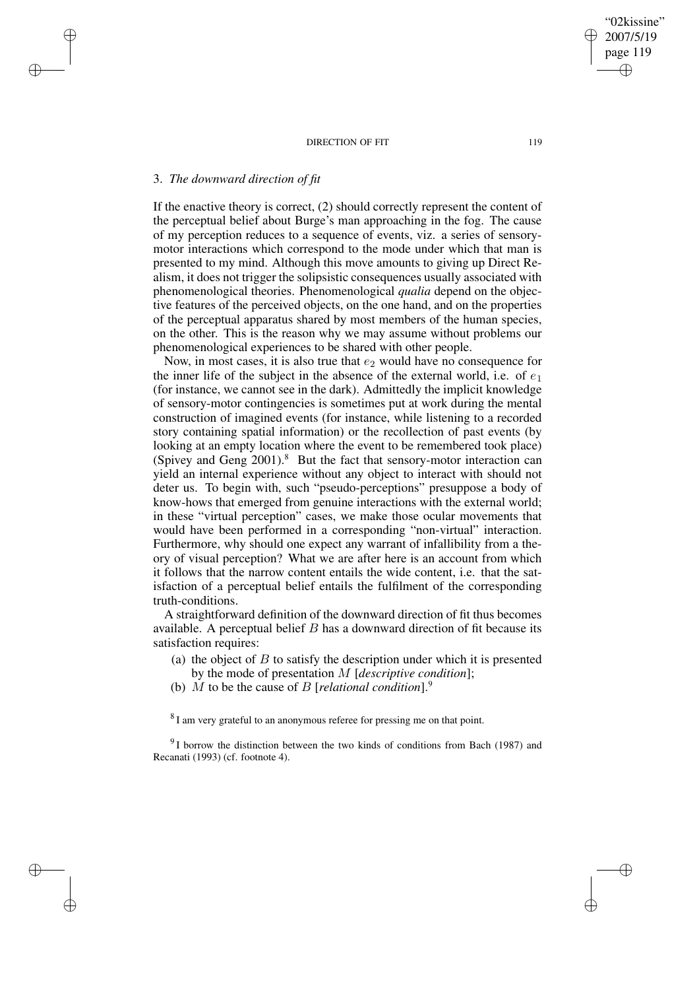# 3. *The downward direction of fit*

✐

✐

✐

✐

If the enactive theory is correct, (2) should correctly represent the content of the perceptual belief about Burge's man approaching in the fog. The cause of my perception reduces to a sequence of events, viz. a series of sensorymotor interactions which correspond to the mode under which that man is presented to my mind. Although this move amounts to giving up Direct Realism, it does not trigger the solipsistic consequences usually associated with phenomenological theories. Phenomenological *qualia* depend on the objective features of the perceived objects, on the one hand, and on the properties of the perceptual apparatus shared by most members of the human species, on the other. This is the reason why we may assume without problems our phenomenological experiences to be shared with other people.

Now, in most cases, it is also true that  $e_2$  would have no consequence for the inner life of the subject in the absence of the external world, i.e. of  $e_1$ (for instance, we cannot see in the dark). Admittedly the implicit knowledge of sensory-motor contingencies is sometimes put at work during the mental construction of imagined events (for instance, while listening to a recorded story containing spatial information) or the recollection of past events (by looking at an empty location where the event to be remembered took place) (Spivey and Geng 2001).<sup>8</sup> But the fact that sensory-motor interaction can yield an internal experience without any object to interact with should not deter us. To begin with, such "pseudo-perceptions" presuppose a body of know-hows that emerged from genuine interactions with the external world; in these "virtual perception" cases, we make those ocular movements that would have been performed in a corresponding "non-virtual" interaction. Furthermore, why should one expect any warrant of infallibility from a theory of visual perception? What we are after here is an account from which it follows that the narrow content entails the wide content, i.e. that the satisfaction of a perceptual belief entails the fulfilment of the corresponding truth-conditions.

A straightforward definition of the downward direction of fit thus becomes available. A perceptual belief  $B$  has a downward direction of fit because its satisfaction requires:

- (a) the object of  $B$  to satisfy the description under which it is presented by the mode of presentation M [*descriptive condition*];
- (b) M to be the cause of B [*relational condition*].<sup>9</sup>

 $8$ I am very grateful to an anonymous referee for pressing me on that point.

 $9$ I borrow the distinction between the two kinds of conditions from Bach (1987) and Recanati (1993) (cf. footnote 4).

"02kissine" 2007/5/19 page 119

✐

✐

✐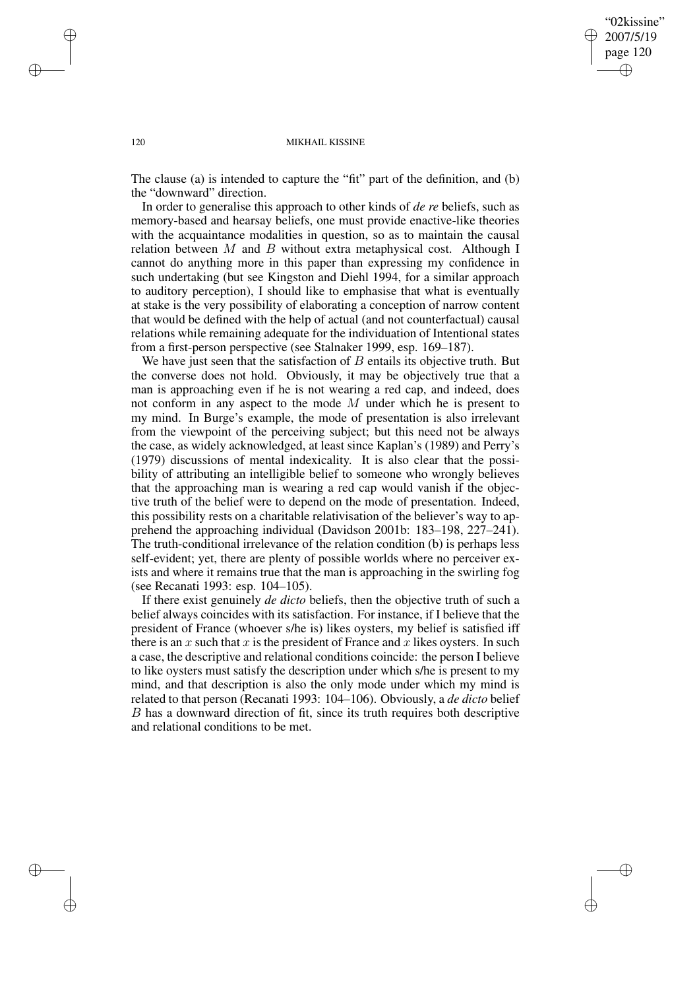"02kissine" 2007/5/19 page 120 ✐ ✐

✐

✐

#### 120 MIKHAIL KISSINE

The clause (a) is intended to capture the "fit" part of the definition, and (b) the "downward" direction.

In order to generalise this approach to other kinds of *de re* beliefs, such as memory-based and hearsay beliefs, one must provide enactive-like theories with the acquaintance modalities in question, so as to maintain the causal relation between  $M$  and  $B$  without extra metaphysical cost. Although I cannot do anything more in this paper than expressing my confidence in such undertaking (but see Kingston and Diehl 1994, for a similar approach to auditory perception), I should like to emphasise that what is eventually at stake is the very possibility of elaborating a conception of narrow content that would be defined with the help of actual (and not counterfactual) causal relations while remaining adequate for the individuation of Intentional states from a first-person perspective (see Stalnaker 1999, esp. 169–187).

We have just seen that the satisfaction of  $B$  entails its objective truth. But the converse does not hold. Obviously, it may be objectively true that a man is approaching even if he is not wearing a red cap, and indeed, does not conform in any aspect to the mode  $M$  under which he is present to my mind. In Burge's example, the mode of presentation is also irrelevant from the viewpoint of the perceiving subject; but this need not be always the case, as widely acknowledged, at least since Kaplan's (1989) and Perry's (1979) discussions of mental indexicality. It is also clear that the possibility of attributing an intelligible belief to someone who wrongly believes that the approaching man is wearing a red cap would vanish if the objective truth of the belief were to depend on the mode of presentation. Indeed, this possibility rests on a charitable relativisation of the believer's way to apprehend the approaching individual (Davidson 2001b: 183–198, 227–241). The truth-conditional irrelevance of the relation condition (b) is perhaps less self-evident; yet, there are plenty of possible worlds where no perceiver exists and where it remains true that the man is approaching in the swirling fog (see Recanati 1993: esp. 104–105).

If there exist genuinely *de dicto* beliefs, then the objective truth of such a belief always coincides with its satisfaction. For instance, if I believe that the president of France (whoever s/he is) likes oysters, my belief is satisfied iff there is an x such that x is the president of France and x likes oysters. In such a case, the descriptive and relational conditions coincide: the person I believe to like oysters must satisfy the description under which s/he is present to my mind, and that description is also the only mode under which my mind is related to that person (Recanati 1993: 104–106). Obviously, a *de dicto* belief B has a downward direction of fit, since its truth requires both descriptive and relational conditions to be met.

✐

✐

✐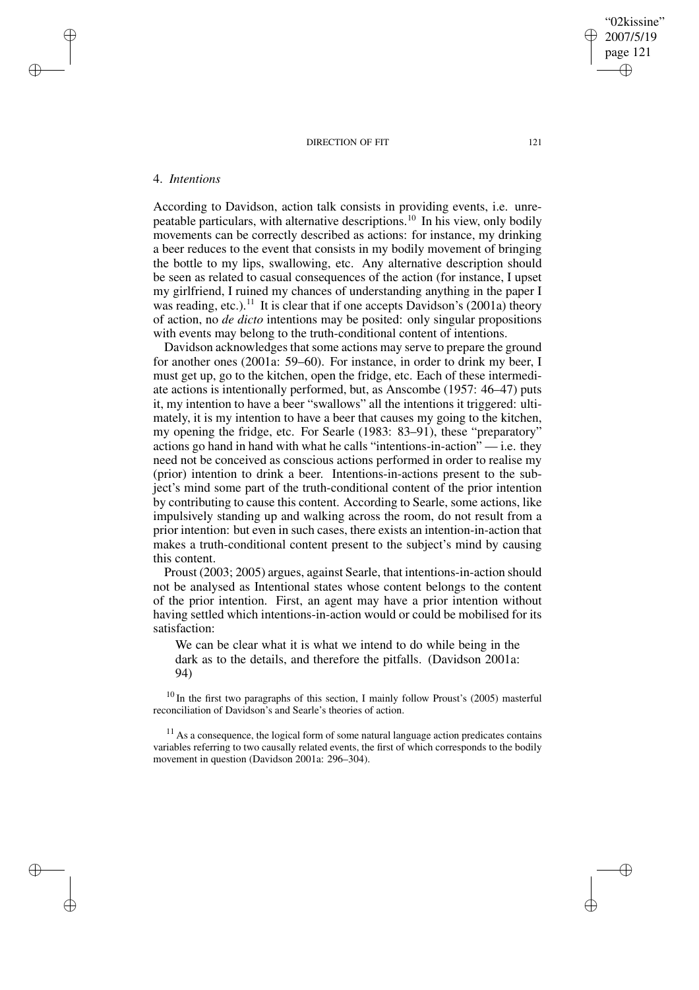## 4. *Intentions*

✐

✐

✐

✐

According to Davidson, action talk consists in providing events, i.e. unrepeatable particulars, with alternative descriptions.<sup>10</sup> In his view, only bodily movements can be correctly described as actions: for instance, my drinking a beer reduces to the event that consists in my bodily movement of bringing the bottle to my lips, swallowing, etc. Any alternative description should be seen as related to casual consequences of the action (for instance, I upset my girlfriend, I ruined my chances of understanding anything in the paper I was reading, etc.).<sup>11</sup> It is clear that if one accepts Davidson's (2001a) theory of action, no *de dicto* intentions may be posited: only singular propositions with events may belong to the truth-conditional content of intentions.

Davidson acknowledges that some actions may serve to prepare the ground for another ones (2001a: 59–60). For instance, in order to drink my beer, I must get up, go to the kitchen, open the fridge, etc. Each of these intermediate actions is intentionally performed, but, as Anscombe (1957: 46–47) puts it, my intention to have a beer "swallows" all the intentions it triggered: ultimately, it is my intention to have a beer that causes my going to the kitchen, my opening the fridge, etc. For Searle (1983: 83–91), these "preparatory" actions go hand in hand with what he calls "intentions-in-action" — i.e. they need not be conceived as conscious actions performed in order to realise my (prior) intention to drink a beer. Intentions-in-actions present to the subject's mind some part of the truth-conditional content of the prior intention by contributing to cause this content. According to Searle, some actions, like impulsively standing up and walking across the room, do not result from a prior intention: but even in such cases, there exists an intention-in-action that makes a truth-conditional content present to the subject's mind by causing this content.

Proust (2003; 2005) argues, against Searle, that intentions-in-action should not be analysed as Intentional states whose content belongs to the content of the prior intention. First, an agent may have a prior intention without having settled which intentions-in-action would or could be mobilised for its satisfaction:

We can be clear what it is what we intend to do while being in the dark as to the details, and therefore the pitfalls. (Davidson 2001a: 94)

 $10$  In the first two paragraphs of this section, I mainly follow Proust's (2005) masterful reconciliation of Davidson's and Searle's theories of action.

 $11$  As a consequence, the logical form of some natural language action predicates contains variables referring to two causally related events, the first of which corresponds to the bodily movement in question (Davidson 2001a: 296–304).

"02kissine" 2007/5/19 page 121

✐

✐

✐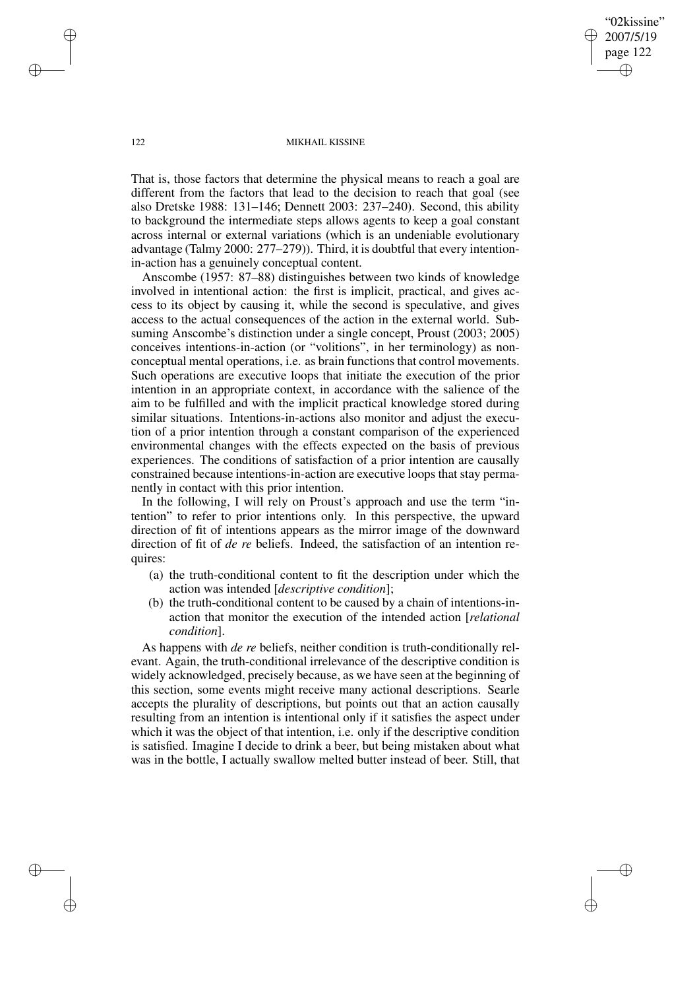122 MIKHAIL KISSINE

"02kissine" 2007/5/19 page 122

✐

✐

✐

✐

That is, those factors that determine the physical means to reach a goal are different from the factors that lead to the decision to reach that goal (see also Dretske 1988: 131–146; Dennett 2003: 237–240). Second, this ability to background the intermediate steps allows agents to keep a goal constant across internal or external variations (which is an undeniable evolutionary advantage (Talmy 2000: 277–279)). Third, it is doubtful that every intentionin-action has a genuinely conceptual content.

Anscombe (1957: 87–88) distinguishes between two kinds of knowledge involved in intentional action: the first is implicit, practical, and gives access to its object by causing it, while the second is speculative, and gives access to the actual consequences of the action in the external world. Subsuming Anscombe's distinction under a single concept, Proust (2003; 2005) conceives intentions-in-action (or "volitions", in her terminology) as nonconceptual mental operations, i.e. as brain functions that control movements. Such operations are executive loops that initiate the execution of the prior intention in an appropriate context, in accordance with the salience of the aim to be fulfilled and with the implicit practical knowledge stored during similar situations. Intentions-in-actions also monitor and adjust the execution of a prior intention through a constant comparison of the experienced environmental changes with the effects expected on the basis of previous experiences. The conditions of satisfaction of a prior intention are causally constrained because intentions-in-action are executive loops that stay permanently in contact with this prior intention.

In the following, I will rely on Proust's approach and use the term "intention" to refer to prior intentions only. In this perspective, the upward direction of fit of intentions appears as the mirror image of the downward direction of fit of *de re* beliefs. Indeed, the satisfaction of an intention requires:

- (a) the truth-conditional content to fit the description under which the action was intended [*descriptive condition*];
- (b) the truth-conditional content to be caused by a chain of intentions-inaction that monitor the execution of the intended action [*relational condition*].

As happens with *de re* beliefs, neither condition is truth-conditionally relevant. Again, the truth-conditional irrelevance of the descriptive condition is widely acknowledged, precisely because, as we have seen at the beginning of this section, some events might receive many actional descriptions. Searle accepts the plurality of descriptions, but points out that an action causally resulting from an intention is intentional only if it satisfies the aspect under which it was the object of that intention, i.e. only if the descriptive condition is satisfied. Imagine I decide to drink a beer, but being mistaken about what was in the bottle, I actually swallow melted butter instead of beer. Still, that

✐

✐

✐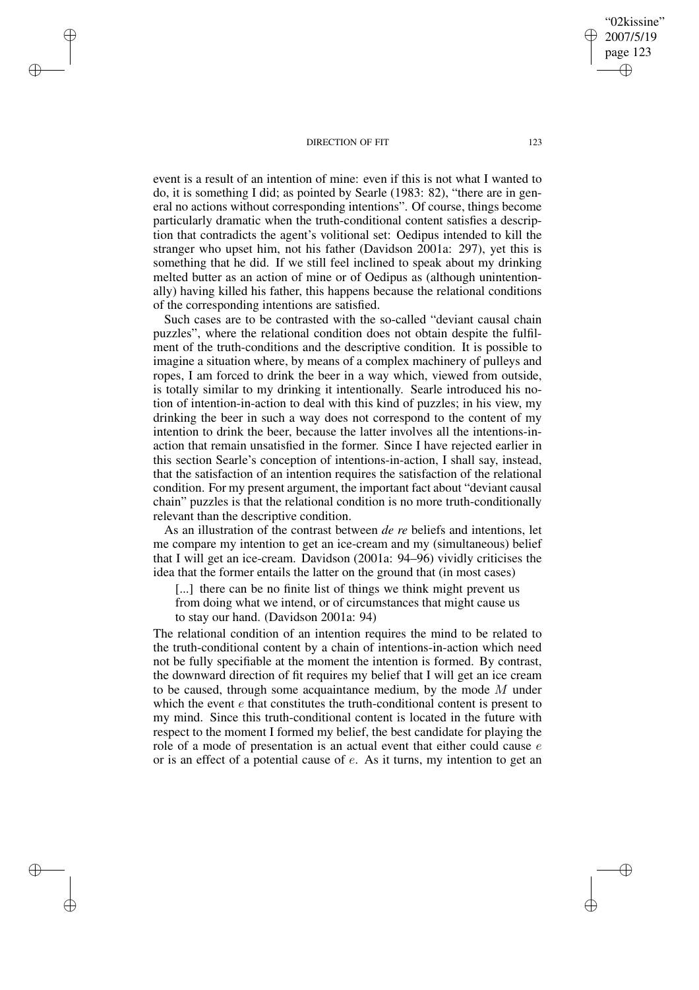✐

✐

✐

✐

event is a result of an intention of mine: even if this is not what I wanted to do, it is something I did; as pointed by Searle (1983: 82), "there are in general no actions without corresponding intentions". Of course, things become particularly dramatic when the truth-conditional content satisfies a description that contradicts the agent's volitional set: Oedipus intended to kill the stranger who upset him, not his father (Davidson 2001a: 297), yet this is something that he did. If we still feel inclined to speak about my drinking melted butter as an action of mine or of Oedipus as (although unintentionally) having killed his father, this happens because the relational conditions of the corresponding intentions are satisfied.

Such cases are to be contrasted with the so-called "deviant causal chain puzzles", where the relational condition does not obtain despite the fulfilment of the truth-conditions and the descriptive condition. It is possible to imagine a situation where, by means of a complex machinery of pulleys and ropes, I am forced to drink the beer in a way which, viewed from outside, is totally similar to my drinking it intentionally. Searle introduced his notion of intention-in-action to deal with this kind of puzzles; in his view, my drinking the beer in such a way does not correspond to the content of my intention to drink the beer, because the latter involves all the intentions-inaction that remain unsatisfied in the former. Since I have rejected earlier in this section Searle's conception of intentions-in-action, I shall say, instead, that the satisfaction of an intention requires the satisfaction of the relational condition. For my present argument, the important fact about "deviant causal chain" puzzles is that the relational condition is no more truth-conditionally relevant than the descriptive condition.

As an illustration of the contrast between *de re* beliefs and intentions, let me compare my intention to get an ice-cream and my (simultaneous) belief that I will get an ice-cream. Davidson (2001a: 94–96) vividly criticises the idea that the former entails the latter on the ground that (in most cases)

[...] there can be no finite list of things we think might prevent us from doing what we intend, or of circumstances that might cause us to stay our hand. (Davidson 2001a: 94)

The relational condition of an intention requires the mind to be related to the truth-conditional content by a chain of intentions-in-action which need not be fully specifiable at the moment the intention is formed. By contrast, the downward direction of fit requires my belief that I will get an ice cream to be caused, through some acquaintance medium, by the mode M under which the event  $e$  that constitutes the truth-conditional content is present to my mind. Since this truth-conditional content is located in the future with respect to the moment I formed my belief, the best candidate for playing the role of a mode of presentation is an actual event that either could cause  $e$ or is an effect of a potential cause of e. As it turns, my intention to get an

"02kissine" 2007/5/19 page 123

✐

✐

✐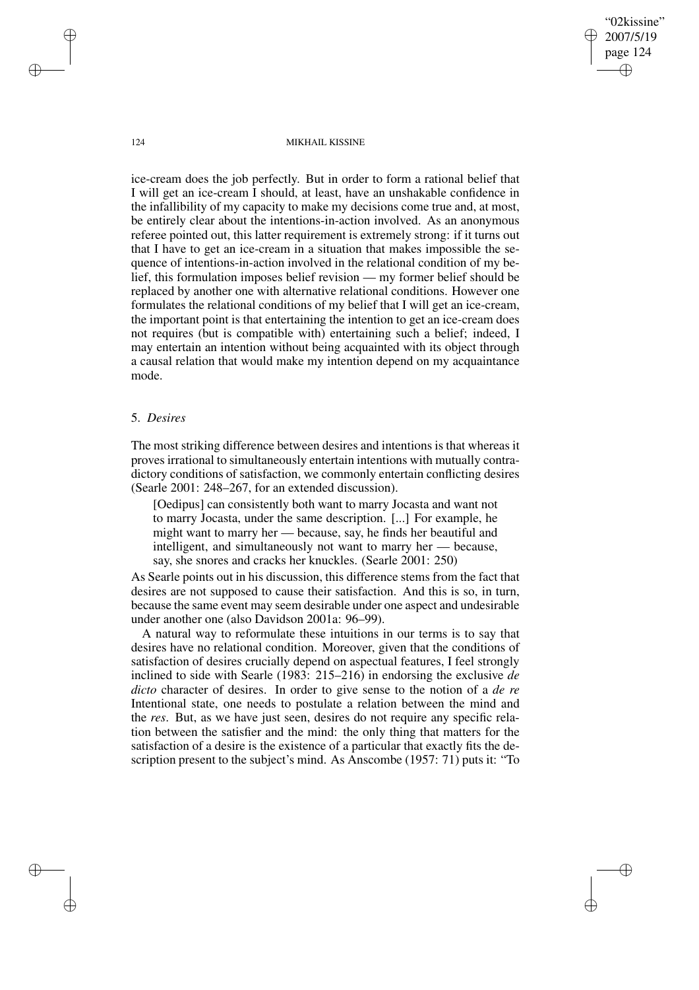124 MIKHAIL KISSINE

"02kissine" 2007/5/19 page 124

✐

✐

✐

✐

ice-cream does the job perfectly. But in order to form a rational belief that I will get an ice-cream I should, at least, have an unshakable confidence in the infallibility of my capacity to make my decisions come true and, at most, be entirely clear about the intentions-in-action involved. As an anonymous referee pointed out, this latter requirement is extremely strong: if it turns out that I have to get an ice-cream in a situation that makes impossible the sequence of intentions-in-action involved in the relational condition of my belief, this formulation imposes belief revision — my former belief should be replaced by another one with alternative relational conditions. However one formulates the relational conditions of my belief that I will get an ice-cream, the important point is that entertaining the intention to get an ice-cream does not requires (but is compatible with) entertaining such a belief; indeed, I may entertain an intention without being acquainted with its object through a causal relation that would make my intention depend on my acquaintance mode.

## 5. *Desires*

The most striking difference between desires and intentions is that whereas it proves irrational to simultaneously entertain intentions with mutually contradictory conditions of satisfaction, we commonly entertain conflicting desires (Searle 2001: 248–267, for an extended discussion).

[Oedipus] can consistently both want to marry Jocasta and want not to marry Jocasta, under the same description. [...] For example, he might want to marry her — because, say, he finds her beautiful and intelligent, and simultaneously not want to marry her — because, say, she snores and cracks her knuckles. (Searle 2001: 250)

As Searle points out in his discussion, this difference stems from the fact that desires are not supposed to cause their satisfaction. And this is so, in turn, because the same event may seem desirable under one aspect and undesirable under another one (also Davidson 2001a: 96–99).

A natural way to reformulate these intuitions in our terms is to say that desires have no relational condition. Moreover, given that the conditions of satisfaction of desires crucially depend on aspectual features, I feel strongly inclined to side with Searle (1983: 215–216) in endorsing the exclusive *de dicto* character of desires. In order to give sense to the notion of a *de re* Intentional state, one needs to postulate a relation between the mind and the *res*. But, as we have just seen, desires do not require any specific relation between the satisfier and the mind: the only thing that matters for the satisfaction of a desire is the existence of a particular that exactly fits the description present to the subject's mind. As Anscombe (1957: 71) puts it: "To

✐

✐

✐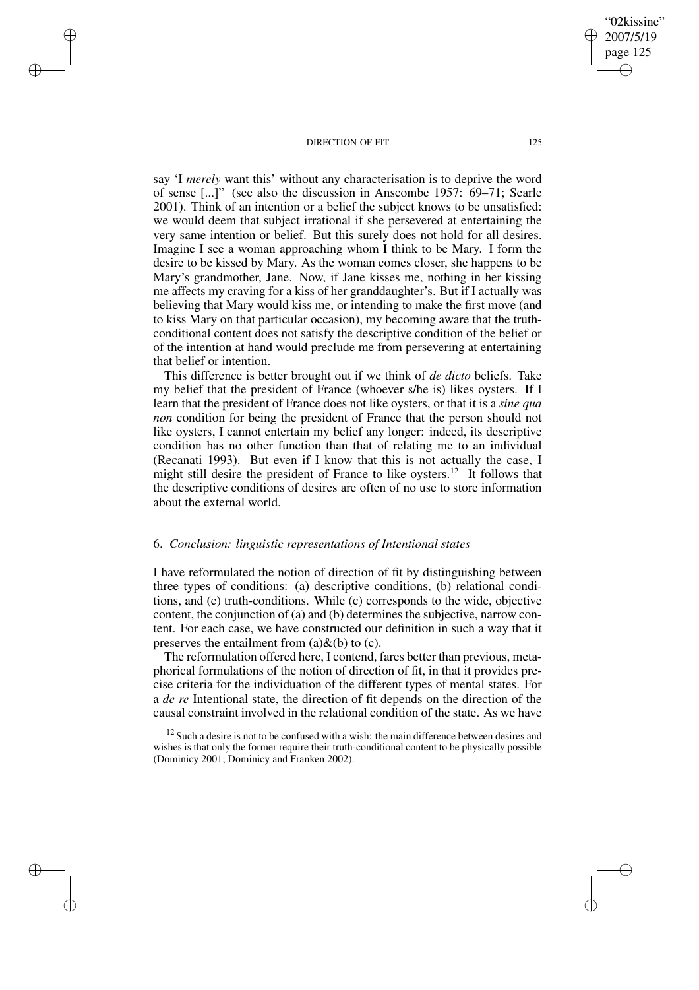✐

✐

✐

✐

say 'I *merely* want this' without any characterisation is to deprive the word of sense [...]" (see also the discussion in Anscombe 1957: 69–71; Searle 2001). Think of an intention or a belief the subject knows to be unsatisfied: we would deem that subject irrational if she persevered at entertaining the very same intention or belief. But this surely does not hold for all desires. Imagine I see a woman approaching whom I think to be Mary. I form the desire to be kissed by Mary. As the woman comes closer, she happens to be Mary's grandmother, Jane. Now, if Jane kisses me, nothing in her kissing me affects my craving for a kiss of her granddaughter's. But if I actually was believing that Mary would kiss me, or intending to make the first move (and to kiss Mary on that particular occasion), my becoming aware that the truthconditional content does not satisfy the descriptive condition of the belief or of the intention at hand would preclude me from persevering at entertaining that belief or intention.

This difference is better brought out if we think of *de dicto* beliefs. Take my belief that the president of France (whoever s/he is) likes oysters. If I learn that the president of France does not like oysters, or that it is a *sine qua non* condition for being the president of France that the person should not like oysters, I cannot entertain my belief any longer: indeed, its descriptive condition has no other function than that of relating me to an individual (Recanati 1993). But even if I know that this is not actually the case, I might still desire the president of France to like oysters.<sup>12</sup> It follows that the descriptive conditions of desires are often of no use to store information about the external world.

### 6. *Conclusion: linguistic representations of Intentional states*

I have reformulated the notion of direction of fit by distinguishing between three types of conditions: (a) descriptive conditions, (b) relational conditions, and (c) truth-conditions. While (c) corresponds to the wide, objective content, the conjunction of (a) and (b) determines the subjective, narrow content. For each case, we have constructed our definition in such a way that it preserves the entailment from  $(a) \& (b)$  to  $(c)$ .

The reformulation offered here, I contend, fares better than previous, metaphorical formulations of the notion of direction of fit, in that it provides precise criteria for the individuation of the different types of mental states. For a *de re* Intentional state, the direction of fit depends on the direction of the causal constraint involved in the relational condition of the state. As we have

 $12$  Such a desire is not to be confused with a wish: the main difference between desires and wishes is that only the former require their truth-conditional content to be physically possible (Dominicy 2001; Dominicy and Franken 2002).

"02kissine" 2007/5/19 page 125

✐

✐

✐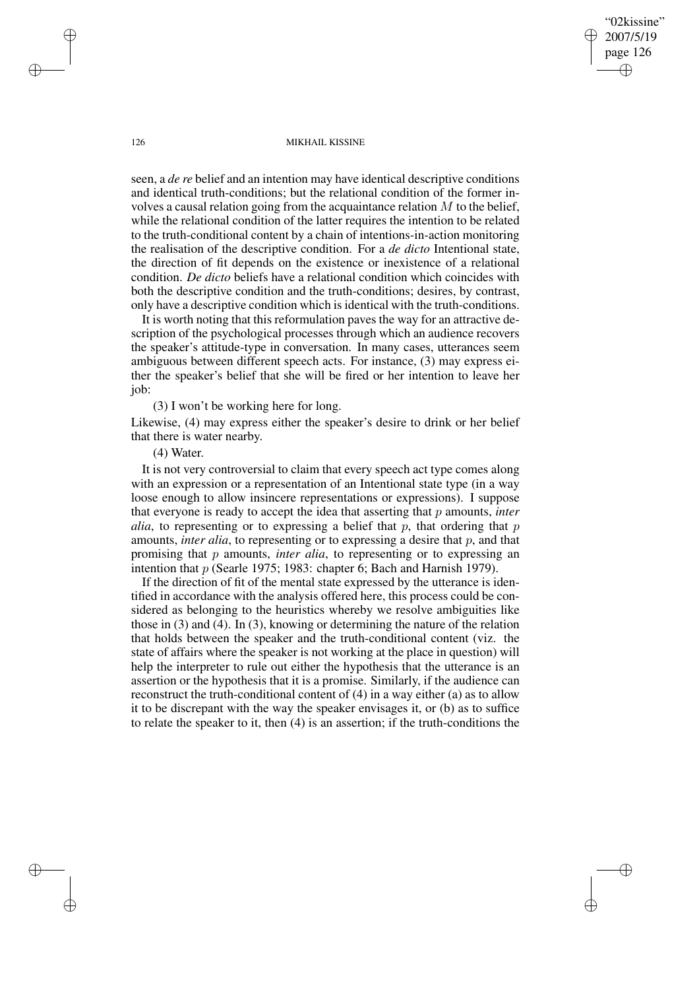page 126 ✐

✐

✐

✐

"02kissine" 2007/5/19

#### 126 MIKHAIL KISSINE

seen, a *de re* belief and an intention may have identical descriptive conditions and identical truth-conditions; but the relational condition of the former involves a causal relation going from the acquaintance relation  $M$  to the belief, while the relational condition of the latter requires the intention to be related to the truth-conditional content by a chain of intentions-in-action monitoring the realisation of the descriptive condition. For a *de dicto* Intentional state, the direction of fit depends on the existence or inexistence of a relational condition. *De dicto* beliefs have a relational condition which coincides with both the descriptive condition and the truth-conditions; desires, by contrast, only have a descriptive condition which is identical with the truth-conditions.

It is worth noting that this reformulation paves the way for an attractive description of the psychological processes through which an audience recovers the speaker's attitude-type in conversation. In many cases, utterances seem ambiguous between different speech acts. For instance, (3) may express either the speaker's belief that she will be fired or her intention to leave her job:

(3) I won't be working here for long.

Likewise, (4) may express either the speaker's desire to drink or her belief that there is water nearby.

### (4) Water.

It is not very controversial to claim that every speech act type comes along with an expression or a representation of an Intentional state type (in a way loose enough to allow insincere representations or expressions). I suppose that everyone is ready to accept the idea that asserting that p amounts, *inter alia*, to representing or to expressing a belief that  $p$ , that ordering that  $p$ amounts, *inter alia*, to representing or to expressing a desire that p, and that promising that p amounts, *inter alia*, to representing or to expressing an intention that p (Searle 1975; 1983: chapter 6; Bach and Harnish 1979).

If the direction of fit of the mental state expressed by the utterance is identified in accordance with the analysis offered here, this process could be considered as belonging to the heuristics whereby we resolve ambiguities like those in (3) and (4). In (3), knowing or determining the nature of the relation that holds between the speaker and the truth-conditional content (viz. the state of affairs where the speaker is not working at the place in question) will help the interpreter to rule out either the hypothesis that the utterance is an assertion or the hypothesis that it is a promise. Similarly, if the audience can reconstruct the truth-conditional content of (4) in a way either (a) as to allow it to be discrepant with the way the speaker envisages it, or (b) as to suffice to relate the speaker to it, then (4) is an assertion; if the truth-conditions the

✐

✐

✐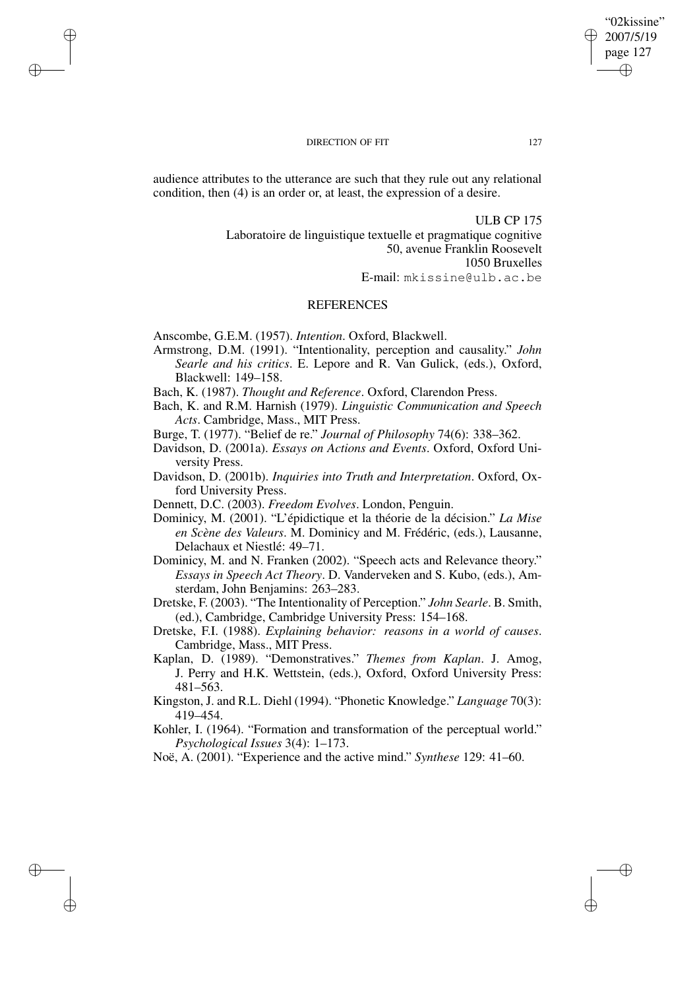audience attributes to the utterance are such that they rule out any relational condition, then (4) is an order or, at least, the expression of a desire.

> ULB CP 175 Laboratoire de linguistique textuelle et pragmatique cognitive 50, avenue Franklin Roosevelt 1050 Bruxelles E-mail: mkissine@ulb.ac.be

### **REFERENCES**

Anscombe, G.E.M. (1957). *Intention*. Oxford, Blackwell.

✐

✐

✐

✐

- Armstrong, D.M. (1991). "Intentionality, perception and causality." *John Searle and his critics*. E. Lepore and R. Van Gulick, (eds.), Oxford, Blackwell: 149–158.
- Bach, K. (1987). *Thought and Reference*. Oxford, Clarendon Press.
- Bach, K. and R.M. Harnish (1979). *Linguistic Communication and Speech Acts*. Cambridge, Mass., MIT Press.
- Burge, T. (1977). "Belief de re." *Journal of Philosophy* 74(6): 338–362.
- Davidson, D. (2001a). *Essays on Actions and Events*. Oxford, Oxford University Press.
- Davidson, D. (2001b). *Inquiries into Truth and Interpretation*. Oxford, Oxford University Press.
- Dennett, D.C. (2003). *Freedom Evolves*. London, Penguin.
- Dominicy, M. (2001). "L'épidictique et la théorie de la décision." *La Mise en Scène des Valeurs*. M. Dominicy and M. Frédéric, (eds.), Lausanne, Delachaux et Niestlé: 49–71.
- Dominicy, M. and N. Franken (2002). "Speech acts and Relevance theory." *Essays in Speech Act Theory*. D. Vanderveken and S. Kubo, (eds.), Amsterdam, John Benjamins: 263–283.
- Dretske, F. (2003). "The Intentionality of Perception." *John Searle*. B. Smith, (ed.), Cambridge, Cambridge University Press: 154–168.
- Dretske, F.I. (1988). *Explaining behavior: reasons in a world of causes*. Cambridge, Mass., MIT Press.
- Kaplan, D. (1989). "Demonstratives." *Themes from Kaplan*. J. Amog, J. Perry and H.K. Wettstein, (eds.), Oxford, Oxford University Press: 481–563.
- Kingston, J. and R.L. Diehl (1994). "Phonetic Knowledge." *Language* 70(3): 419–454.
- Kohler, I. (1964). "Formation and transformation of the perceptual world." *Psychological Issues* 3(4): 1–173.

Noë, A. (2001). "Experience and the active mind." *Synthese* 129: 41–60.

"02kissine" 2007/5/19 page 127

✐

✐

✐